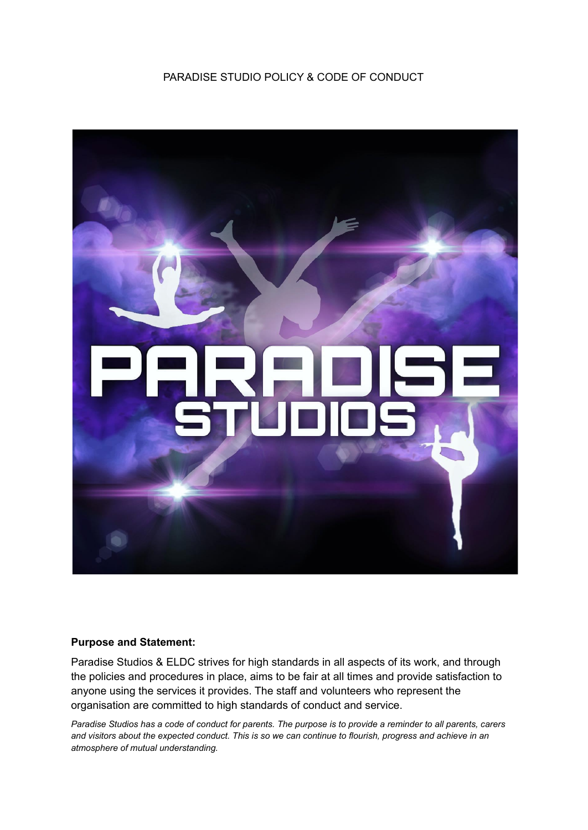PARADISE STUDIO POLICY & CODE OF CONDUCT



#### **Purpose and Statement:**

Paradise Studios & ELDC strives for high standards in all aspects of its work, and through the policies and procedures in place, aims to be fair at all times and provide satisfaction to anyone using the services it provides. The staff and volunteers who represent the organisation are committed to high standards of conduct and service.

*Paradise Studios has a code of conduct for parents. The purpose is to provide a reminder to all parents, carers and visitors about the expected conduct. This is so we can continue to flourish, progress and achieve in an atmosphere of mutual understanding.*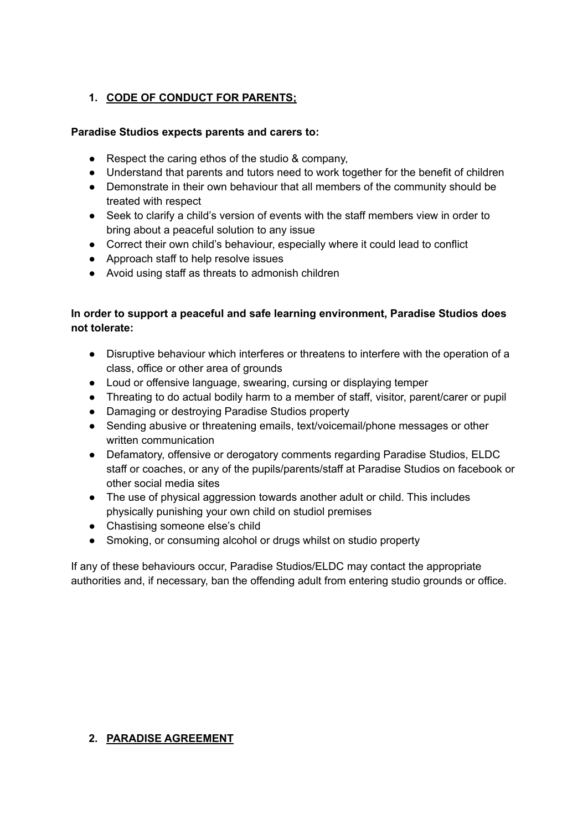# **1. CODE OF CONDUCT FOR PARENTS;**

### **Paradise Studios expects parents and carers to:**

- Respect the caring ethos of the studio & company,
- Understand that parents and tutors need to work together for the benefit of children
- Demonstrate in their own behaviour that all members of the community should be treated with respect
- Seek to clarify a child's version of events with the staff members view in order to bring about a peaceful solution to any issue
- Correct their own child's behaviour, especially where it could lead to conflict
- Approach staff to help resolve issues
- Avoid using staff as threats to admonish children

# **In order to support a peaceful and safe learning environment, Paradise Studios does not tolerate:**

- Disruptive behaviour which interferes or threatens to interfere with the operation of a class, office or other area of grounds
- Loud or offensive language, swearing, cursing or displaying temper
- Threating to do actual bodily harm to a member of staff, visitor, parent/carer or pupil
- Damaging or destroying Paradise Studios property
- Sending abusive or threatening emails, text/voicemail/phone messages or other written communication
- Defamatory, offensive or derogatory comments regarding Paradise Studios, ELDC staff or coaches, or any of the pupils/parents/staff at Paradise Studios on facebook or other social media sites
- The use of physical aggression towards another adult or child. This includes physically punishing your own child on studiol premises
- Chastising someone else's child
- Smoking, or consuming alcohol or drugs whilst on studio property

If any of these behaviours occur, Paradise Studios/ELDC may contact the appropriate authorities and, if necessary, ban the offending adult from entering studio grounds or office.

#### **2. PARADISE AGREEMENT**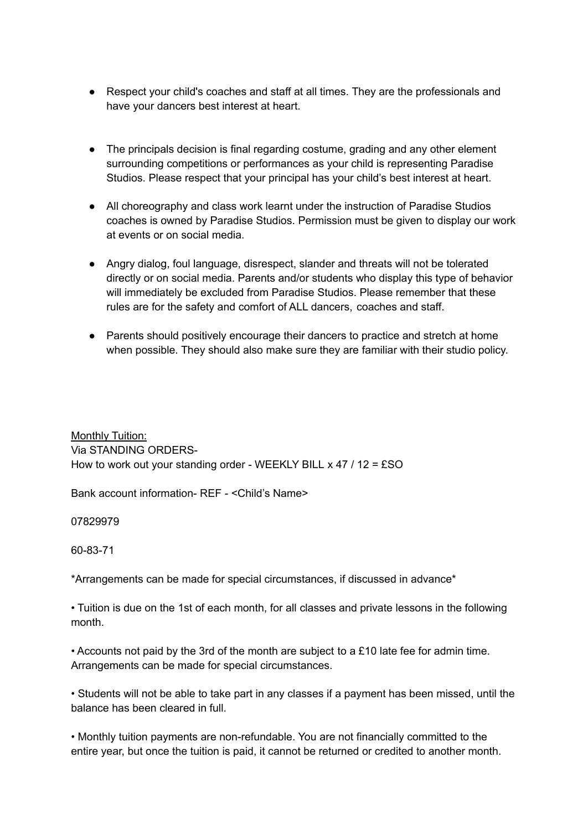- Respect your child's coaches and staff at all times. They are the professionals and have your dancers best interest at heart.
- The principals decision is final regarding costume, grading and any other element surrounding competitions or performances as your child is representing Paradise Studios. Please respect that your principal has your child's best interest at heart.
- All choreography and class work learnt under the instruction of Paradise Studios coaches is owned by Paradise Studios. Permission must be given to display our work at events or on social media.
- Angry dialog, foul language, disrespect, slander and threats will not be tolerated directly or on social media. Parents and/or students who display this type of behavior will immediately be excluded from Paradise Studios. Please remember that these rules are for the safety and comfort of ALL dancers, coaches and staff.
- Parents should positively encourage their dancers to practice and stretch at home when possible. They should also make sure they are familiar with their studio policy.

Monthly Tuition: Via STANDING ORDERS-How to work out your standing order - WEEKLY BILL x 47 / 12 = £SO

Bank account information- REF - <Child's Name>

07829979

### 60-83-71

\*Arrangements can be made for special circumstances, if discussed in advance\*

• Tuition is due on the 1st of each month, for all classes and private lessons in the following month.

• Accounts not paid by the 3rd of the month are subject to a £10 late fee for admin time. Arrangements can be made for special circumstances.

• Students will not be able to take part in any classes if a payment has been missed, until the balance has been cleared in full.

• Monthly tuition payments are non-refundable. You are not financially committed to the entire year, but once the tuition is paid, it cannot be returned or credited to another month.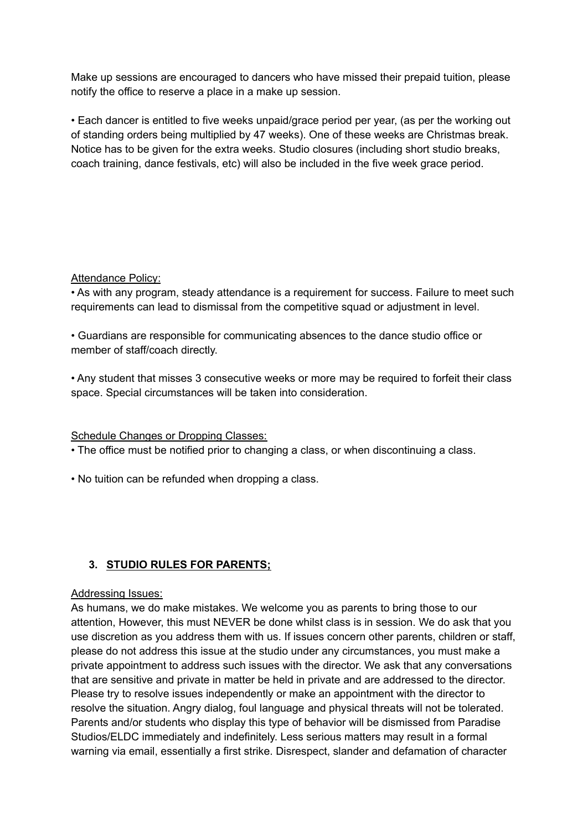Make up sessions are encouraged to dancers who have missed their prepaid tuition, please notify the office to reserve a place in a make up session.

• Each dancer is entitled to five weeks unpaid/grace period per year, (as per the working out of standing orders being multiplied by 47 weeks). One of these weeks are Christmas break. Notice has to be given for the extra weeks. Studio closures (including short studio breaks, coach training, dance festivals, etc) will also be included in the five week grace period.

#### Attendance Policy:

• As with any program, steady attendance is a requirement for success. Failure to meet such requirements can lead to dismissal from the competitive squad or adjustment in level.

• Guardians are responsible for communicating absences to the dance studio office or member of staff/coach directly.

• Any student that misses 3 consecutive weeks or more may be required to forfeit their class space. Special circumstances will be taken into consideration.

Schedule Changes or Dropping Classes:

• The office must be notified prior to changing a class, or when discontinuing a class.

• No tuition can be refunded when dropping a class.

### **3. STUDIO RULES FOR PARENTS;**

#### Addressing Issues:

As humans, we do make mistakes. We welcome you as parents to bring those to our attention, However, this must NEVER be done whilst class is in session. We do ask that you use discretion as you address them with us. If issues concern other parents, children or staff, please do not address this issue at the studio under any circumstances, you must make a private appointment to address such issues with the director. We ask that any conversations that are sensitive and private in matter be held in private and are addressed to the director. Please try to resolve issues independently or make an appointment with the director to resolve the situation. Angry dialog, foul language and physical threats will not be tolerated. Parents and/or students who display this type of behavior will be dismissed from Paradise Studios/ELDC immediately and indefinitely. Less serious matters may result in a formal warning via email, essentially a first strike. Disrespect, slander and defamation of character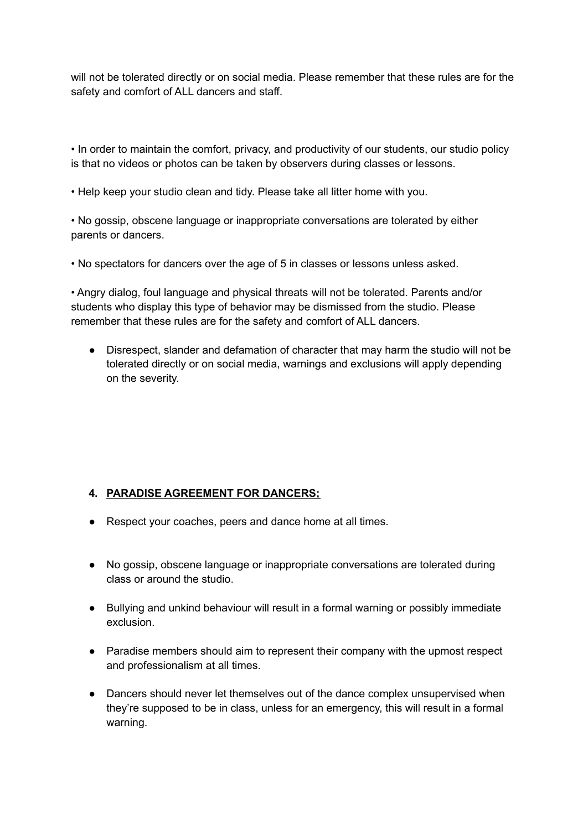will not be tolerated directly or on social media. Please remember that these rules are for the safety and comfort of ALL dancers and staff.

• In order to maintain the comfort, privacy, and productivity of our students, our studio policy is that no videos or photos can be taken by observers during classes or lessons.

• Help keep your studio clean and tidy. Please take all litter home with you.

• No gossip, obscene language or inappropriate conversations are tolerated by either parents or dancers.

• No spectators for dancers over the age of 5 in classes or lessons unless asked.

• Angry dialog, foul language and physical threats will not be tolerated. Parents and/or students who display this type of behavior may be dismissed from the studio. Please remember that these rules are for the safety and comfort of ALL dancers.

● Disrespect, slander and defamation of character that may harm the studio will not be tolerated directly or on social media, warnings and exclusions will apply depending on the severity.

### **4. PARADISE AGREEMENT FOR DANCERS;**

- Respect your coaches, peers and dance home at all times.
- No gossip, obscene language or inappropriate conversations are tolerated during class or around the studio.
- Bullying and unkind behaviour will result in a formal warning or possibly immediate exclusion.
- Paradise members should aim to represent their company with the upmost respect and professionalism at all times.
- Dancers should never let themselves out of the dance complex unsupervised when they're supposed to be in class, unless for an emergency, this will result in a formal warning.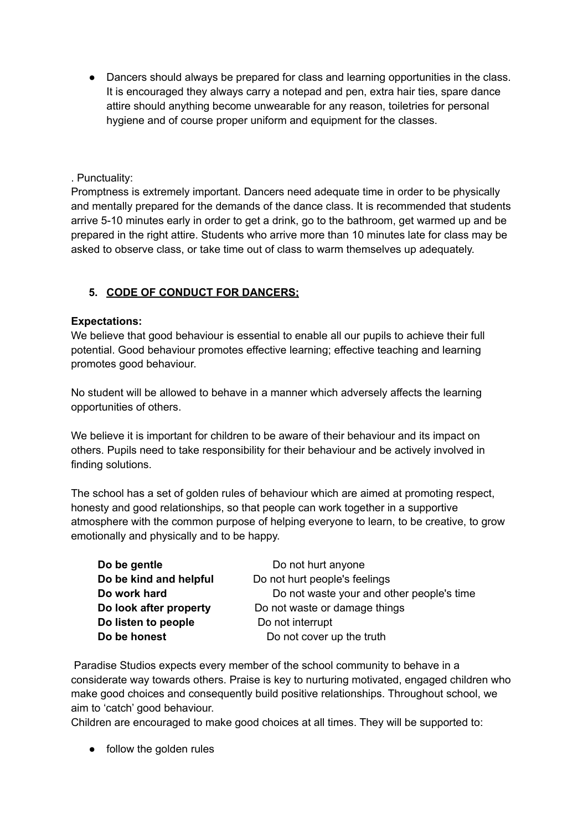• Dancers should always be prepared for class and learning opportunities in the class. It is encouraged they always carry a notepad and pen, extra hair ties, spare dance attire should anything become unwearable for any reason, toiletries for personal hygiene and of course proper uniform and equipment for the classes.

### . Punctuality:

Promptness is extremely important. Dancers need adequate time in order to be physically and mentally prepared for the demands of the dance class. It is recommended that students arrive 5-10 minutes early in order to get a drink, go to the bathroom, get warmed up and be prepared in the right attire. Students who arrive more than 10 minutes late for class may be asked to observe class, or take time out of class to warm themselves up adequately.

# **5. CODE OF CONDUCT FOR DANCERS;**

#### **Expectations:**

We believe that good behaviour is essential to enable all our pupils to achieve their full potential. Good behaviour promotes effective learning; effective teaching and learning promotes good behaviour.

No student will be allowed to behave in a manner which adversely affects the learning opportunities of others.

We believe it is important for children to be aware of their behaviour and its impact on others. Pupils need to take responsibility for their behaviour and be actively involved in finding solutions.

The school has a set of golden rules of behaviour which are aimed at promoting respect, honesty and good relationships, so that people can work together in a supportive atmosphere with the common purpose of helping everyone to learn, to be creative, to grow emotionally and physically and to be happy.

| Do be gentle           | Do not hurt anyone                        |  |
|------------------------|-------------------------------------------|--|
| Do be kind and helpful | Do not hurt people's feelings             |  |
| Do work hard           | Do not waste your and other people's time |  |
| Do look after property | Do not waste or damage things             |  |
| Do listen to people    | Do not interrupt                          |  |
| Do be honest           | Do not cover up the truth                 |  |

Paradise Studios expects every member of the school community to behave in a considerate way towards others. Praise is key to nurturing motivated, engaged children who make good choices and consequently build positive relationships. Throughout school, we aim to 'catch' good behaviour.

Children are encouraged to make good choices at all times. They will be supported to:

• follow the golden rules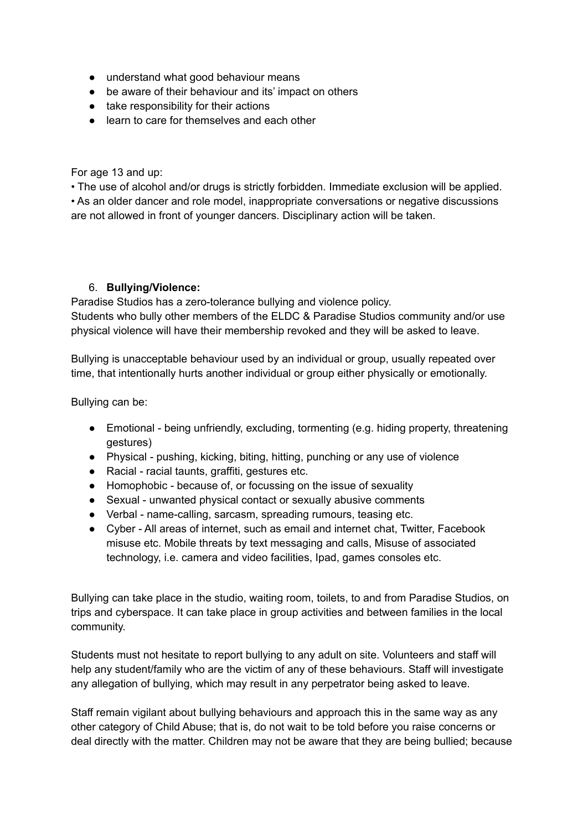- understand what good behaviour means
- be aware of their behaviour and its' impact on others
- take responsibility for their actions
- learn to care for themselves and each other

For age 13 and up:

• The use of alcohol and/or drugs is strictly forbidden. Immediate exclusion will be applied. • As an older dancer and role model, inappropriate conversations or negative discussions are not allowed in front of younger dancers. Disciplinary action will be taken.

#### 6. **Bullying/Violence:**

Paradise Studios has a zero-tolerance bullying and violence policy. Students who bully other members of the ELDC & Paradise Studios community and/or use physical violence will have their membership revoked and they will be asked to leave.

Bullying is unacceptable behaviour used by an individual or group, usually repeated over time, that intentionally hurts another individual or group either physically or emotionally.

Bullying can be:

- Emotional being unfriendly, excluding, tormenting (e.g. hiding property, threatening gestures)
- Physical pushing, kicking, biting, hitting, punching or any use of violence
- Racial racial taunts, graffiti, gestures etc.
- Homophobic because of, or focussing on the issue of sexuality
- Sexual unwanted physical contact or sexually abusive comments
- Verbal name-calling, sarcasm, spreading rumours, teasing etc.
- Cyber All areas of internet, such as email and internet chat, Twitter, Facebook misuse etc. Mobile threats by text messaging and calls, Misuse of associated technology, i.e. camera and video facilities, Ipad, games consoles etc.

Bullying can take place in the studio, waiting room, toilets, to and from Paradise Studios, on trips and cyberspace. It can take place in group activities and between families in the local community.

Students must not hesitate to report bullying to any adult on site. Volunteers and staff will help any student/family who are the victim of any of these behaviours. Staff will investigate any allegation of bullying, which may result in any perpetrator being asked to leave.

Staff remain vigilant about bullying behaviours and approach this in the same way as any other category of Child Abuse; that is, do not wait to be told before you raise concerns or deal directly with the matter. Children may not be aware that they are being bullied; because